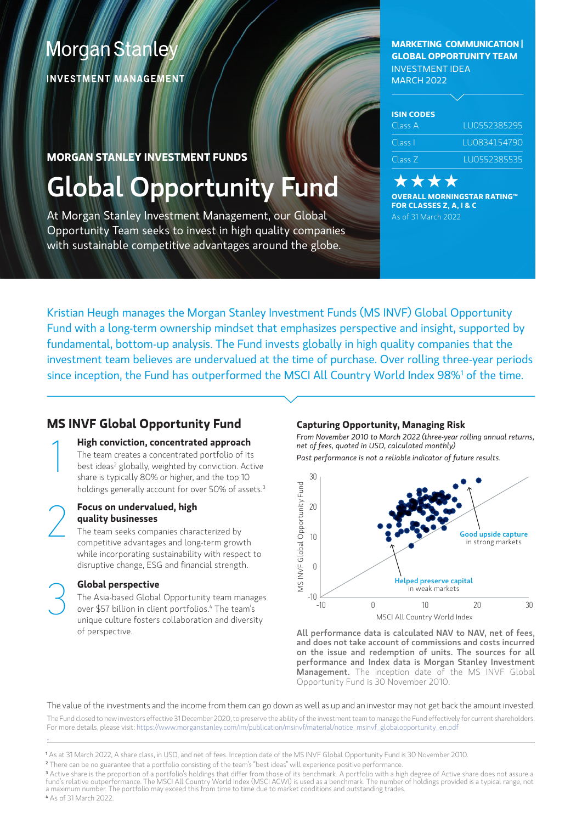# **Morgan Stanley**

**INVESTMENT MANAGEMENT** 

### **MORGAN STANLEY INVESTMENT FUNDS**

# Global Opportunity Fund

At Morgan Stanley Investment Management, our Global Opportunity Team seeks to invest in high quality companies with sustainable competitive advantages around the globe.

**MARKETING COMMUNICATION | GLOBAL OPPORTUNITY TEAM** INVESTMENT IDEA MARCH 2022

| <b>ISIN CODES</b> |               |
|-------------------|---------------|
| Class A           | LU0552385295  |
| Class I           | 1110834154790 |
| Class Z           | LU0552385535  |

#### **x x x OVERALL MORNINGSTAR RATING™ FOR CLASSES Z, A, I & C** As of 31 March 2022

Kristian Heugh manages the Morgan Stanley Investment Funds (MS INVF) Global Opportunity Fund with a long-term ownership mindset that emphasizes perspective and insight, supported by fundamental, bottom-up analysis. The Fund invests globally in high quality companies that the investment team believes are undervalued at the time of purchase. Over rolling three-year periods since inception, the Fund has outperformed the MSCI All Country World Index 98%<sup>1</sup> of the time.

# **MS INVF Global Opportunity Fund**

## **High conviction, concentrated approach**

The team creates a concentrated portfolio of its best ideas<sup>2</sup> globally, weighted by conviction. Active share is typically 80% or higher, and the top 10 holdings generally account for over 50% of assets.<sup>3</sup>

#### 2 **Focus on undervalued, high quality businesses**

1

The team seeks companies characterized by competitive advantages and long-term growth while incorporating sustainability with respect to disruptive change, ESG and financial strength.

#### **Global perspective**

The Asia-based Global Opportunity team manages over \$57 billion in client portfolios.4 The team's unique culture fosters collaboration and diversity of perspective.

#### **Capturing Opportunity, Managing Risk**

*From November 2010 to March 2022 (three-year rolling annual returns, net of fees, quoted in USD, calculated monthly) Past performance is not a reliable indicator of future results.*



All performance data is calculated NAV to NAV, net of fees, and does not take account of commissions and costs incurred on the issue and redemption of units. The sources for all performance and Index data is Morgan Stanley Investment Management. The inception date of the MS INVF Global Opportunity Fund is 30 November 2010.

#### The value of the investments and the income from them can go down as well as up and an investor may not get back the amount invested.

The Fund closed to new investors effective 31 December 2020, to preserve the ability of the investment team to manage the Fund effectively for current shareholders. For more details, please visit: [https://www.morganstanley.com/im/publication/msinvf/material/notice\\_msinvf\\_globalopportunity\\_en.pdf](https://www.morganstanley.com/im/publication/msinvf/material/notice_msinvf_globalopportunity_en.pdf)

**2** There can be no guarantee that a portfolio consisting of the team's "best ideas" will experience positive performance.

**4** As of 31 March 2022.

**<sup>1</sup>** As at 31 March 2022, A share class, in USD, and net of fees. Inception date of the MS INVF Global Opportunity Fund is 30 November 2010.

<sup>&</sup>lt;sup>3</sup> Active share is the proportion of a portfolio's holdings that differ from those of its benchmark. A portfolio with a high degree of Active share does not assure a<br>fund's relative outperformance. The MSCI All Country Wo a maximum number. The portfolio may exceed this from time to time due to market conditions and outstanding trades.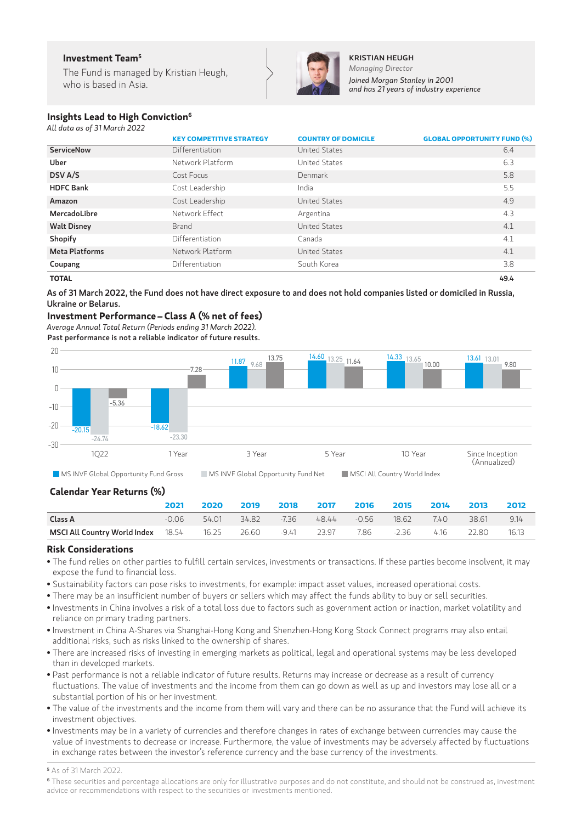#### **Investment Team5**

The Fund is managed by Kristian Heugh, who is based in Asia.



KRISTIAN HEUGH *Managing Director Joined Morgan Stanley in 2001 and has 21 years of industry experience*

#### **Insights Lead to High Conviction6**

*All data as of 31 March 2022*

|                       | <b>KEY COMPETITIVE STRATEGY</b> | <b>COUNTRY OF DOMICILE</b> | <b>GLOBAL OPPORTUNITY FUND (%)</b> |
|-----------------------|---------------------------------|----------------------------|------------------------------------|
| <b>ServiceNow</b>     | Differentiation                 | United States              | 6.4                                |
| Uber                  | Network Platform                | United States              | 6.3                                |
| DSV A/S               | Cost Focus                      | Denmark                    | 5.8                                |
| <b>HDFC Bank</b>      | Cost Leadership                 | India                      | 5.5                                |
| Amazon                | Cost Leadership                 | United States              | 4.9                                |
| MercadoLibre          | Network Effect                  | Argentina                  | 4.3                                |
| <b>Walt Disney</b>    | <b>Brand</b>                    | United States              | 4.1                                |
| Shopify               | Differentiation                 | Canada                     | 4.1                                |
| <b>Meta Platforms</b> | Network Platform                | <b>United States</b>       | 4.1                                |
| Coupang               | Differentiation                 | South Korea                | 3.8                                |

**TOTAL** 49.4

As of 31 March 2022, the Fund does not have direct exposure to and does not hold companies listed or domiciled in Russia, Ukraine or Belarus.

#### **Investment Performance– Class A (% net of fees)**

*Average Annual Total Return (Periods ending 31 March 2022).*  Past performance is not a reliable indicator of future results.



#### **Calendar Year Returns (%)**

|                                                                   | 2021  | 2020  | 2019 | 2018 2017 2016                             |            | 2015 2014 2013 | 2012    |
|-------------------------------------------------------------------|-------|-------|------|--------------------------------------------|------------|----------------|---------|
| Class A                                                           | -0.06 | 54.01 |      | 34.82 - 7.36 - 48.44 - 0.56 - 18.62 - 7.40 |            | $-38.61$       | 9.14    |
| <b>MSCI All Country World Index</b> 18.54 16.25 26.60 -9.41 23.97 |       |       |      |                                            | 7.86 -2.36 | 4.16 22.80     | - 16.13 |

#### **Risk Considerations**

- The fund relies on other parties to fulfill certain services, investments or transactions. If these parties become insolvent, it may expose the fund to financial loss.
- Sustainability factors can pose risks to investments, for example: impact asset values, increased operational costs.
- There may be an insufficient number of buyers or sellers which may affect the funds ability to buy or sell securities.
- Investments in China involves a risk of a total loss due to factors such as government action or inaction, market volatility and reliance on primary trading partners.
- Investment in China A-Shares via Shanghai-Hong Kong and Shenzhen-Hong Kong Stock Connect programs may also entail additional risks, such as risks linked to the ownership of shares.
- There are increased risks of investing in emerging markets as political, legal and operational systems may be less developed than in developed markets.
- Past performance is not a reliable indicator of future results. Returns may increase or decrease as a result of currency fluctuations. The value of investments and the income from them can go down as well as up and investors may lose all or a substantial portion of his or her investment.
- The value of the investments and the income from them will vary and there can be no assurance that the Fund will achieve its investment objectives.
- Investments may be in a variety of currencies and therefore changes in rates of exchange between currencies may cause the value of investments to decrease or increase. Furthermore, the value of investments may be adversely affected by fluctuations in exchange rates between the investor's reference currency and the base currency of the investments.

**5** As of 31 March 2022.

**<sup>6</sup>** These securities and percentage allocations are only for illustrative purposes and do not constitute, and should not be construed as, investment advice or recommendations with respect to the securities or investments mentioned.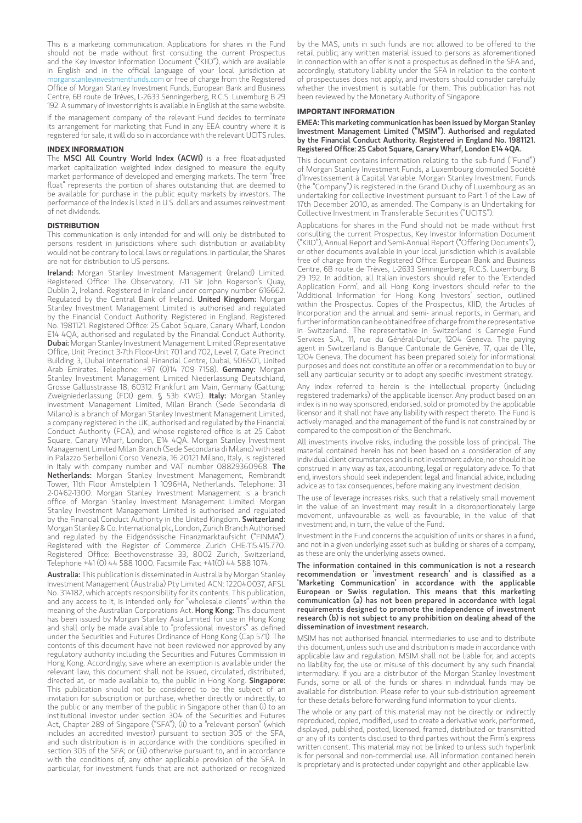This is a marketing communication. Applications for shares in the Fund should not be made without first consulting the current Prospectus and the Key Investor Information Document ("KIID"), which are available in English and in the official language of your local jurisdiction at [morganstanleyinvestmentfunds.com](http://morganstanleyinvestmentfunds.com) or free of charge from the Registered Office of Morgan Stanley Investment Funds, European Bank and Business Centre, 6B route de Trèves, L-2633 Senningerberg, R.C.S. Luxemburg B 29 192. A summary of investor rights is available in English at the same website.

If the management company of the relevant Fund decides to terminate its arrangement for marketing that Fund in any EEA country where it is registered for sale, it will do so in accordance with the relevant UCITS rules.

#### **INDEX INFORMATION**

The MSCI All Country World Index (ACWI) is a free float-adjusted market capitalization weighted index designed to measure the equity market performance of developed and emerging markets. The term "free float" represents the portion of shares outstanding that are deemed to be available for purchase in the public equity markets by investors. The performance of the Index is listed in U.S. dollars and assumes reinvestment of net dividends.

#### **DISTRIBUTION**

This communication is only intended for and will only be distributed to persons resident in jurisdictions where such distribution or availability would not be contrary to local laws or regulations. In particular, the Shares are not for distribution to US persons.

Ireland: Morgan Stanley Investment Management (Ireland) Limited. Registered Office: The Observatory, 7-11 Sir John Rogerson's Quay, Dublin 2, Ireland. Registered in Ireland under company number 616662. Regulated by the Central Bank of Ireland. United Kingdom: Morgan Stanley Investment Management Limited is authorised and regulated by the Financial Conduct Authority. Registered in England. Registered No. 1981121. Registered Office: 25 Cabot Square, Canary Wharf, London E14 4QA, authorised and regulated by the Financial Conduct Authority. Dubai: Morgan Stanley Investment Management Limited (Representative Office, Unit Precinct 3-7th Floor-Unit 701 and 702, Level 7, Gate Precinct Building 3, Dubai International Financial Centre, Dubai, 506501, United Arab Emirates. Telephone: +97 (0)14 709 7158). Germany: Morgan Stanley Investment Management Limited Niederlassung Deutschland, Grosse Gallusstrasse 18, 60312 Frankfurt am Main, Germany (Gattung: Zweigniederlassung (FDI) gem. § 53b KWG). Italy: Morgan Stanley Investment Management Limited, Milan Branch (Sede Secondaria di Milano) is a branch of Morgan Stanley Investment Management Limited, a company registered in the UK, authorised and regulated by the Financial Conduct Authority (FCA), and whose registered office is at 25 Cabot Square, Canary Wharf, London, E14 4QA. Morgan Stanley Investment Management Limited Milan Branch (Sede Secondaria di Milano) with seat in Palazzo Serbelloni Corso Venezia, 16 20121 Milano, Italy, is registered in Italy with company number and VAT number 08829360968. The Netherlands: Morgan Stanley Investment Management, Rembrandt Tower, 11th Floor Amstelplein 1 1096HA, Netherlands. Telephone: 31 2-0462-1300. Morgan Stanley Investment Management is a branch office of Morgan Stanley Investment Management Limited. Morgan Stanley Investment Management Limited is authorised and regulated by the Financial Conduct Authority in the United Kingdom. **Switzerland:** Morgan Stanley & Co. International plc, London, Zurich Branch Authorised and regulated by the Eidgenössische Finanzmarktaufsicht ("FINMA"). Registered with the Register of Commerce Zurich CHE-115.415.770. Registered Office: Beethovenstrasse 33, 8002 Zurich, Switzerland, Telephone +41 (0) 44 588 1000. Facsimile Fax: +41(0) 44 588 1074.

Australia: This publication is disseminated in Australia by Morgan Stanley Investment Management (Australia) Pty Limited ACN: 122040037, AFSL No. 314182, which accepts responsibility for its contents. This publication, and any access to it, is intended only for "wholesale clients" within the meaning of the Australian Corporations Act. Hong Kong: This document has been issued by Morgan Stanley Asia Limited for use in Hong Kong and shall only be made available to "professional investors" as defined under the Securities and Futures Ordinance of Hong Kong (Cap 571). The contents of this document have not been reviewed nor approved by any regulatory authority including the Securities and Futures Commission in Hong Kong. Accordingly, save where an exemption is available under the relevant law, this document shall not be issued, circulated, distributed, directed at, or made available to, the public in Hong Kong. Singapore: This publication should not be considered to be the subject of an invitation for subscription or purchase, whether directly or indirectly, to the public or any member of the public in Singapore other than (i) to an institutional investor under section 304 of the Securities and Futures Act, Chapter 289 of Singapore ("SFA"), (ii) to a "relevant person" (which includes an accredited investor) pursuant to section 305 of the SFA, and such distribution is in accordance with the conditions specified in section 305 of the SFA; or (iii) otherwise pursuant to, and in accordance with the conditions of, any other applicable provision of the SFA. In particular, for investment funds that are not authorized or recognized

by the MAS, units in such funds are not allowed to be offered to the retail public; any written material issued to persons as aforementioned in connection with an offer is not a prospectus as defined in the SFA and, accordingly, statutory liability under the SFA in relation to the content of prospectuses does not apply, and investors should consider carefully whether the investment is suitable for them. This publication has not been reviewed by the Monetary Authority of Singapore.

#### **IMPORTANT INFORMATION**

EMEA: This marketing communication has been issued by Morgan Stanley Investment Management Limited ("MSIM"). Authorised and regulated by the Financial Conduct Authority. Registered in England No. 1981121. Registered Office: 25 Cabot Square, Canary Wharf, London E14 4QA.

This document contains information relating to the sub-fund ("Fund") of Morgan Stanley Investment Funds, a Luxembourg domiciled Société d'Investissement à Capital Variable. Morgan Stanley Investment Funds (the "Company") is registered in the Grand Duchy of Luxembourg as an undertaking for collective investment pursuant to Part 1 of the Law of 17th December 2010, as amended. The Company is an Undertaking for Collective Investment in Transferable Securities ("UCITS").

Applications for shares in the Fund should not be made without first consulting the current Prospectus, Key Investor Information Document ("KIID"), Annual Report and Semi-Annual Report ("Offering Documents"), or other documents available in your local jurisdiction which is available free of charge from the Registered Office: European Bank and Business Centre, 6B route de Trèves, L-2633 Senningerberg, R.C.S. Luxemburg B 29 192. In addition, all Italian investors should refer to the 'Extended Application Form', and all Hong Kong investors should refer to the 'Additional Information for Hong Kong Investors' section, outlined within the Prospectus. Copies of the Prospectus, KIID, the Articles of Incorporation and the annual and semi- annual reports, in German, and further information can be obtained free of charge from the representative in Switzerland. The representative in Switzerland is Carnegie Fund Services S.A., 11, rue du Général-Dufour, 1204 Geneva. The paying agent in Switzerland is Banque Cantonale de Genève, 17, quai de l'Ile, 1204 Geneva. The document has been prepared solely for informational purposes and does not constitute an offer or a recommendation to buy or sell any particular security or to adopt any specific investment strategy.

Any index referred to herein is the intellectual property (including registered trademarks) of the applicable licensor. Any product based on an index is in no way sponsored, endorsed, sold or promoted by the applicable licensor and it shall not have any liability with respect thereto. The Fund is actively managed, and the management of the fund is not constrained by or compared to the composition of the Benchmark.

All investments involve risks, including the possible loss of principal. The material contained herein has not been based on a consideration of any individual client circumstances and is not investment advice, nor should it be construed in any way as tax, accounting, legal or regulatory advice. To that end, investors should seek independent legal and financial advice, including advice as to tax consequences, before making any investment decision.

The use of leverage increases risks, such that a relatively small movement in the value of an investment may result in a disproportionately large movement, unfavourable as well as favourable, in the value of that investment and, in turn, the value of the Fund.

Investment in the Fund concerns the acquisition of units or shares in a fund, and not in a given underlying asset such as building or shares of a company, as these are only the underlying assets owned.

The information contained in this communication is not a research recommendation or 'investment research' and is classified as a 'Marketing Communication' in accordance with the applicable European or Swiss regulation. This means that this marketing communication (a) has not been prepared in accordance with legal requirements designed to promote the independence of investment research (b) is not subject to any prohibition on dealing ahead of the dissemination of investment research.

MSIM has not authorised financial intermediaries to use and to distribute this document, unless such use and distribution is made in accordance with applicable law and regulation. MSIM shall not be liable for, and accepts no liability for, the use or misuse of this document by any such financial intermediary. If you are a distributor of the Morgan Stanley Investment Funds, some or all of the funds or shares in individual funds may be available for distribution. Please refer to your sub-distribution agreement for these details before forwarding fund information to your clients.

The whole or any part of this material may not be directly or indirectly reproduced, copied, modified, used to create a derivative work, performed, displayed, published, posted, licensed, framed, distributed or transmitted or any of its contents disclosed to third parties without the Firm's express written consent. This material may not be linked to unless such hyperlink is for personal and non-commercial use. All information contained herein is proprietary and is protected under copyright and other applicable law.